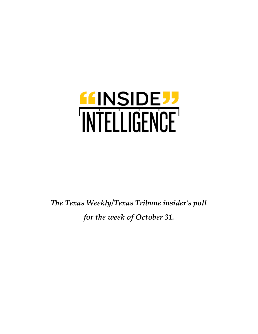

*The Texas Weekly/Texas Tribune insider's poll for the week of October 31.*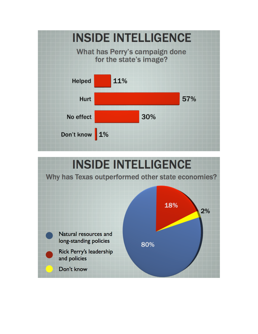

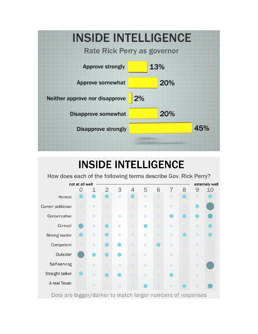

## **INSIDE INTELLIGENCE**

How does each of the following terms describe Gov. Rick Perry?

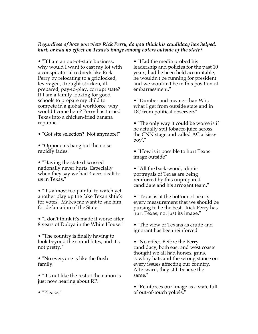## *Regardless of how you view Rick Perry, do you think his candidacy has helped, hurt, or had no effect on Texas's image among voters outside of the state?*

• "If I am an out-of-state business, why would I want to cast my lot with a conspiratorial redneck like Rick Perry by relocating to a gridlocked, leveraged, drought-stricken, illprepared, pay-to-play, corrupt state? If I am a family looking for good schools to prepare my child to compete in a global workforce, why would I come here? Perry has turned Texas into a chicken-fried banana republic."

- "Got site selection? Not anymore!"
- "Opponents bang but the noise rapidly fades."

• "Having the state discussed nationally never hurts. Especially when they say we had 4 aces dealt to us in Texas."

• "It's almost too painful to watch yet another play up the fake Texan shtick for votes. Makes me want to sue him for defamation of the State."

• "I don't think it's made it worse after 8 years of Dubya in the White House."

• "The country is finally having to look beyond the sound bites, and it's not pretty."

• "No everyone is like the Bush family."

• "It's not like the rest of the nation is just now hearing about RP."

• "Had the media probed his leadership and policies for the past 10 years, had he been held accountable, he wouldn't be running for president and we wouldn't be in this position of embarrassment."

• "Dumber and meaner than W is what I get from outside state and in DC from political observers"

• "The only way it could be worse is if he actually spit tobacco juice across the CNN stage and called AC a 'sissy boy'."

• "How is it possible to hurt Texas image outside"

• "All the back-wood, idiotic portrayals of Texas are being reinforced by this unprepared candidate and his arrogant team."

• "Texas is at the bottom of nearly every measurement that we should be pursing to be the best. Rick Perry has hurt Texas, not just its image."

• "The view of Texans as crude and ignorant has been reinforced"

• "No effect. Before the Perry candidacy, both east and west coasts thought we all had horses, guns, cowboy hats and the wrong stance on every issues affecting our country. Afterward, they still believe the same."

• "Reinforces our image as a state full of out-of-touch yokels."

• "Please."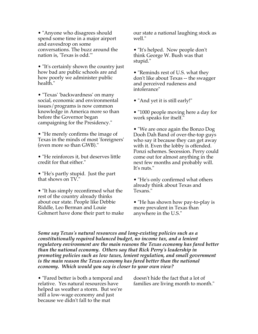• "Anyone who disagrees should" spend some time in a major airport and eavesdrop on some conversations. The buzz around the nation is, 'Texas is odd.'"

• "It's certainly shown the country just how bad are public schools are and how poorly we administer public health."

• "Texas' 'backwardness' on many social, economic and environmental issues/programs is now common knowledge in America more so than before the Governor began campaigning for the Presidency."

• "He merely confirms the image of Texas in the minds of most 'foreigners' (even more so than GWB)."

• "He reinforces it, but deserves little credit for that either."

• "He's partly stupid. Just the part that shows on TV."

• "It has simply reconfirmed what the rest of the country already thinks about our state. People like Debbie Riddle, Leo Berman and Louie Gohmert have done their part to make our state a national laughing stock as well."

• "It's helped. Now people don't think George W. Bush was that stupid."

• "Reminds rest of U.S. what they don't like about Texas -- the swagger and perceived rudeness and intolerance"

• "And yet it is still early!"

• "1000 people moving here a day for work speaks for itself."

• "We are once again the Bonzo Dog Dooh Dah Band of over-the-top guys who say it because they can get away with it. Even the lobby is offended. Ponzi schemes. Secession. Perry could come out for almost anything in the next few months and probably will. It's nuts."

• "He's only confirmed what others already think about Texas and Texans."

• "He has shown how pay-to-play is more prevalent in Texas than anywhere in the U.S."

*Some say Texas's natural resources and long-existing policies such as a constitutionally required balanced budget, no income tax, and a lenient regulatory environment are the main reasons the Texas economy has fared better than the national economy. Others say that Rick Perry's leadership in promoting policies such as low taxes, lenient regulation, and small government is the main reason the Texas economy has fared better than the national economy. Which would you say is closer to your own view?*

• "Fared better is both a temporal and relative. Yes natural resources have helped us weather a storm. But we're still a low-wage economy and just because we didn't fall to the mat

doesn't hide the fact that a lot of families are living month to month."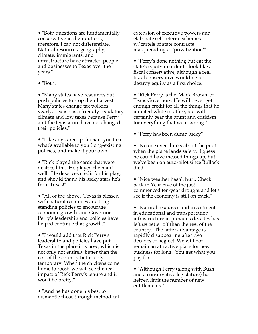• "Both questions are fundamentally conservative in their outlook; therefore, I can not differentiate. Natural resources, geography, climate, immigrants, and infrastructure have attracted people and businesses to Texas over the years."

• "Both."

• "Many states have resources but push policies to stop their harvest. Many states change tax policies yearly. Texas has a friendly regulatory climate and low taxes because Perry and the legislature have not changed their policies."

• "Like any career politician, you take what's available to you (long-existing policies) and make it your own."

• "Rick played the cards that were dealt to him. He played the hand well. He deserves credit for his play, and should thank his lucky stars he's from Texas!"

• "All of the above. Texas is blessed with natural resources and longstanding policies to encourage economic growth, and Governor Perry's leadership and policies have helped continue that growth."

• "I would add that Rick Perry's leadership and policies have put Texas in the place it is now, which is not only not entirely better than the rest of the country but is only temporary. When the chickens come home to roost, we will see the real impact of Rick Perry's tenure and it won't be pretty."

• "And he has done his best to dismantle those through methodical extension of executive powers and elaborate self referral schemes w/cartels of state contracts masquerading as 'privatization'"

• "Perry's done nothing but eat the state's equity in order to look like a fiscal conservative, although a real fiscal conservative would never destroy equity as a first choice."

• "Rick Perry is the 'Mack Brown' of Texas Governors. He will never get enough credit for all the things that he initiated while in office, but will certainly bear the brunt and criticism for everything that went wrong."

• "Perry has been dumb lucky"

• "No one ever thinks about the pilot when the plane lands safely. I guess he could have messed things up, but we've been on auto-pilot since Bullock died."

• "Nice weather hasn't hurt. Check back in Year Five of the justcommenced ten-year drought and let's see if the economy is still on track."

• "Natural resources and investment in educational and transportation infrastructure in previous decades has left us better off than the rest of the country. The latter advantage is rapidly disappearing after two decades of neglect. We will not remain an attractive place for new business for long. You get what you pay for."

• "Although Perry (along with Bush and a conservative legislature) has helped limit the number of new entitlements."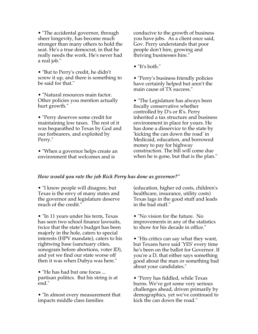• "The accidental governor, through sheer longevity, has become much stronger than many others to hold the seat. He's a true democrat, in that he really needs the work. He's never had a real job."

• "But to Perry's credit, he didn't screw it up, and there is something to be said for that."

• "Natural resources main factor. Other policies you mention actually hurt growth."

• "Perry deserves some credit for maintaining low taxes. The rest of it was bequeathed to Texas by God and our forbearers, and exploited by Perry."

• "When a governor helps create an environment that welcomes and is

conducive to the growth of business you have jobs. As a client once said, Gov. Perry understands that poor people don't hire, growing and thriving businesses hire."

• "It's both."

• "Perry's business friendly policies have certainly helped but aren't the main cause of TX success."

• "The Legislature has always been fiscally conservative whether controlled by D's or R's. Perry inherited a tax structure and business environment in place for yours. He has done a disservice to the state by 'kicking the can down the road' in Medicaid, education, and borrowed money to pay for highway construction. The bill will come due when he is gone, but that is the plan."

## *How would you rate the job Rick Perry has done as governor?"*

• "I know people will disagree, but Texas is the envy of many states and the governor and legislature deserve much of the credit."

• "In 11 years under his term, Texas has seen two school finance lawsuits, twice that the state's budget has been majorly in the hole, caters to special interests (HPV mandate), caters to his rightwing base (sanctuary cities, sonogram before abortions, voter ID), and yet we find our state worse off then it was when Dubya was here."

• "He has had but one focus ... partisan politics. But his string is at end."

• "In almost every measurement that impacts middle class families

(education, higher ed costs, children's healthcare, insurance, utility costs) Texas lags in the good stuff and leads in the bad stuff."

• "No vision for the future. No improvements in any of the statistics to show for his decade in office."

• "His critics can say what they want, but Texans have said 'YES' every time he's been on the ballot for Governor. If you're a D, that either says something good about the man or something bad about your candidates."

• "Perry has fiddled, while Texas burns. We've got some very serious challenges ahead, driven primarily by demographics, yet we've continued to kick the can down the road."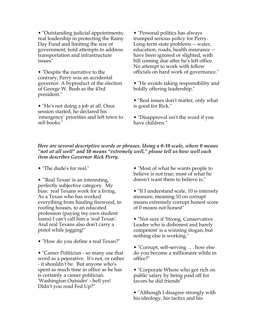• "Outstanding judicial appointments; real leadership in protecting the Rainy Day Fund and limiting the size of government; bold attempts to address transportation and infrastructure issues"

• "Despite the narrative to the contrary, Perry was an accidental governor. A byproduct of the election of George W. Bush as the 43rd president."

• "He's not doing a job at all. Once session started, he declared his 'emergency' priorities and left town to sell books."

• "Personal politics has always trumped serious policy for Perry. Long-term state problems -- water, education, roads, health insurance - have been ignored or slighted, with bill coming due after he's left office. No attempt to work with fellow officials on hard work of governance."

• "He avoids taking responsibility and boldly offering leadership."

• "Real issues don't matter, only what is good for Rick."

• "Disapproval isn't the word if you have children."

## *Here are several descriptive words or phrases. Using a 0-10 scale, where 0 means "not at all well" and 10 means "extremely well," please tell us how well each item describes Governor Rick Perry.*

• "The dude's for real."

• "'Real Texan' is an interesting, perfectly subjective category. My bias: real Texans work for a living. As a Texan who has worked everything from hauling firewood, to roofing houses, to an educated profession (paying my own student loans) I can't call him a 'real Texan'. And real Texans also don't carry a pistol while jogging!"

• "How do you define a real Texan?"

• "Career Politician - so many use that word as a pejorative. It's not, or rather - it shouldn't be. But anyone who's spent as much time in office as he has is certainly a career politician. 'Washington Outsider' - hell yes! Didn't you read Fed Up?"

• "Most of what he wants people to believe is not true; most of what he doesn't want them to believe is."

• "If I understand scale, 10 is intensity measure, meaning 10 on corrupt means extremely corrupt honest score of 0 means not honest"

• "Not sure if 'Strong, Conservative Leader who is dishonest and barely competent' is a winning slogan, but nothing else is working."

• "Corrupt, self-serving . . . how else do you become a millionaire while in office?"

• "Corporate Whore who got rich on public salary by being paid off for favors he did friends"

• "Although I disagree strongly with his ideology, his tactics and his